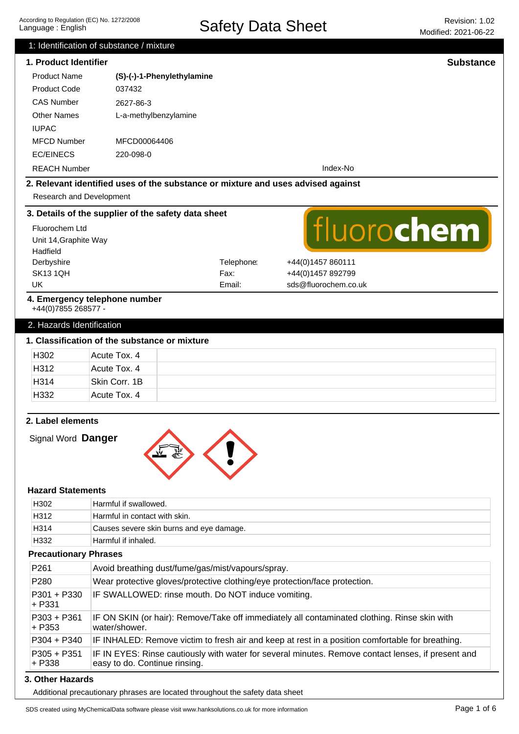| According to Regulation (EC) No. 1272/2008 |
|--------------------------------------------|
| Language: English                          |

|                                   |                                                                                  |            | MOQINEQ. ZUZ1-U0-ZZ                                                                                |
|-----------------------------------|----------------------------------------------------------------------------------|------------|----------------------------------------------------------------------------------------------------|
|                                   | 1: Identification of substance / mixture                                         |            |                                                                                                    |
| 1. Product Identifier             |                                                                                  |            | <b>Substance</b>                                                                                   |
| <b>Product Name</b>               | (S)-(-)-1-Phenylethylamine                                                       |            |                                                                                                    |
| <b>Product Code</b>               | 037432                                                                           |            |                                                                                                    |
| <b>CAS Number</b>                 | 2627-86-3                                                                        |            |                                                                                                    |
| <b>Other Names</b>                | L-a-methylbenzylamine                                                            |            |                                                                                                    |
| <b>IUPAC</b>                      |                                                                                  |            |                                                                                                    |
| <b>MFCD Number</b>                | MFCD00064406                                                                     |            |                                                                                                    |
| <b>EC/EINECS</b>                  | 220-098-0                                                                        |            |                                                                                                    |
| <b>REACH Number</b>               |                                                                                  |            | Index-No                                                                                           |
|                                   | 2. Relevant identified uses of the substance or mixture and uses advised against |            |                                                                                                    |
| Research and Development          |                                                                                  |            |                                                                                                    |
|                                   |                                                                                  |            |                                                                                                    |
|                                   | 3. Details of the supplier of the safety data sheet                              |            |                                                                                                    |
| Fluorochem Ltd                    |                                                                                  |            | fluorochem                                                                                         |
| Unit 14, Graphite Way<br>Hadfield |                                                                                  |            |                                                                                                    |
| Derbyshire                        |                                                                                  | Telephone: | +44(0)1457 860111                                                                                  |
| <b>SK131QH</b>                    |                                                                                  | Fax:       | +44(0)1457 892799                                                                                  |
| <b>UK</b>                         |                                                                                  | Email:     | sds@fluorochem.co.uk                                                                               |
|                                   | 4. Emergency telephone number                                                    |            |                                                                                                    |
| +44(0)7855 268577 -               |                                                                                  |            |                                                                                                    |
| 2. Hazards Identification         |                                                                                  |            |                                                                                                    |
|                                   | 1. Classification of the substance or mixture                                    |            |                                                                                                    |
| H302                              | Acute Tox. 4                                                                     |            |                                                                                                    |
|                                   |                                                                                  |            |                                                                                                    |
| H312                              | Acute Tox. 4                                                                     |            |                                                                                                    |
| H314                              | Skin Corr. 1B                                                                    |            |                                                                                                    |
| H332                              | Acute Tox. 4                                                                     |            |                                                                                                    |
|                                   |                                                                                  |            |                                                                                                    |
| 2. Label elements                 |                                                                                  |            |                                                                                                    |
| Signal Word Danger                |                                                                                  |            |                                                                                                    |
|                                   |                                                                                  |            |                                                                                                    |
|                                   |                                                                                  |            |                                                                                                    |
|                                   |                                                                                  |            |                                                                                                    |
| <b>Hazard Statements</b>          |                                                                                  |            |                                                                                                    |
| H302                              | Harmful if swallowed.                                                            |            |                                                                                                    |
| H312                              | Harmful in contact with skin.                                                    |            |                                                                                                    |
| H314                              | Causes severe skin burns and eye damage.                                         |            |                                                                                                    |
| H332                              | Harmful if inhaled.                                                              |            |                                                                                                    |
| <b>Precautionary Phrases</b>      |                                                                                  |            |                                                                                                    |
| P261                              | Avoid breathing dust/fume/gas/mist/vapours/spray.                                |            |                                                                                                    |
| P280                              | Wear protective gloves/protective clothing/eye protection/face protection.       |            |                                                                                                    |
| P301 + P330                       | IF SWALLOWED: rinse mouth. Do NOT induce vomiting.                               |            |                                                                                                    |
| + P331                            |                                                                                  |            |                                                                                                    |
| $P303 + P361$                     |                                                                                  |            | IF ON SKIN (or hair): Remove/Take off immediately all contaminated clothing. Rinse skin with       |
| $+ P353$                          | water/shower.                                                                    |            |                                                                                                    |
| P304 + P340                       |                                                                                  |            | IF INHALED: Remove victim to fresh air and keep at rest in a position comfortable for breathing.   |
| $P305 + P351$<br>+ P338           | easy to do. Continue rinsing.                                                    |            | IF IN EYES: Rinse cautiously with water for several minutes. Remove contact lenses, if present and |

**3. Other Hazards**

Additional precautionary phrases are located throughout the safety data sheet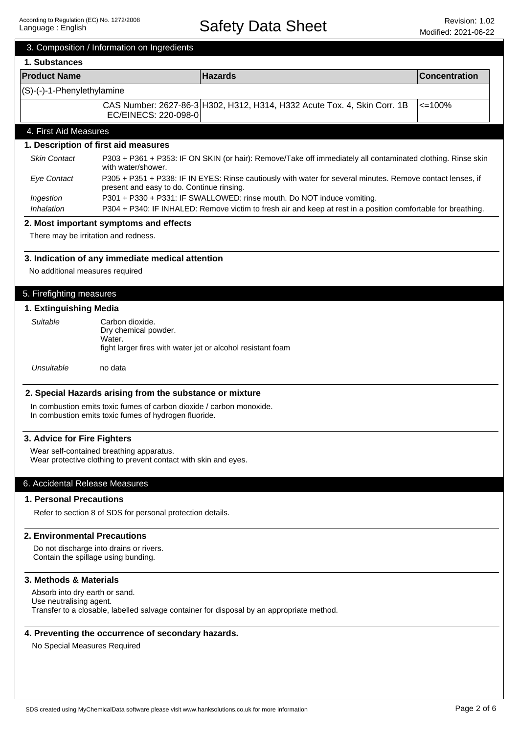|                                         | 3. Composition / Information on Ingredients                                                                                   |                                                                                                               |                      |
|-----------------------------------------|-------------------------------------------------------------------------------------------------------------------------------|---------------------------------------------------------------------------------------------------------------|----------------------|
| 1. Substances                           |                                                                                                                               |                                                                                                               |                      |
| <b>Product Name</b>                     |                                                                                                                               | <b>Hazards</b>                                                                                                | <b>Concentration</b> |
| (S)-(-)-1-Phenylethylamine              |                                                                                                                               |                                                                                                               |                      |
|                                         | EC/EINECS: 220-098-0                                                                                                          | CAS Number: 2627-86-3 H302, H312, H314, H332 Acute Tox. 4, Skin Corr. 1B                                      | $\leq$ 100%          |
| 4. First Aid Measures                   |                                                                                                                               |                                                                                                               |                      |
|                                         | 1. Description of first aid measures                                                                                          |                                                                                                               |                      |
| <b>Skin Contact</b>                     | with water/shower.                                                                                                            | P303 + P361 + P353: IF ON SKIN (or hair): Remove/Take off immediately all contaminated clothing. Rinse skin   |                      |
| <b>Eye Contact</b>                      | present and easy to do. Continue rinsing.                                                                                     | P305 + P351 + P338: IF IN EYES: Rinse cautiously with water for several minutes. Remove contact lenses, if    |                      |
| Ingestion                               |                                                                                                                               | P301 + P330 + P331: IF SWALLOWED: rinse mouth. Do NOT induce vomiting.                                        |                      |
| Inhalation                              |                                                                                                                               | P304 + P340: IF INHALED: Remove victim to fresh air and keep at rest in a position comfortable for breathing. |                      |
|                                         | 2. Most important symptoms and effects                                                                                        |                                                                                                               |                      |
| There may be irritation and redness.    |                                                                                                                               |                                                                                                               |                      |
|                                         | 3. Indication of any immediate medical attention                                                                              |                                                                                                               |                      |
| No additional measures required         |                                                                                                                               |                                                                                                               |                      |
| 5. Firefighting measures                |                                                                                                                               |                                                                                                               |                      |
| 1. Extinguishing Media                  |                                                                                                                               |                                                                                                               |                      |
| Suitable                                | Carbon dioxide.                                                                                                               |                                                                                                               |                      |
|                                         | Dry chemical powder.                                                                                                          |                                                                                                               |                      |
|                                         | Water.<br>fight larger fires with water jet or alcohol resistant foam                                                         |                                                                                                               |                      |
|                                         |                                                                                                                               |                                                                                                               |                      |
| Unsuitable                              | no data                                                                                                                       |                                                                                                               |                      |
|                                         |                                                                                                                               |                                                                                                               |                      |
|                                         | 2. Special Hazards arising from the substance or mixture                                                                      |                                                                                                               |                      |
|                                         | In combustion emits toxic fumes of carbon dioxide / carbon monoxide.<br>In combustion emits toxic fumes of hydrogen fluoride. |                                                                                                               |                      |
|                                         |                                                                                                                               |                                                                                                               |                      |
| 3. Advice for Fire Fighters             |                                                                                                                               |                                                                                                               |                      |
|                                         | Wear self-contained breathing apparatus.                                                                                      |                                                                                                               |                      |
|                                         | Wear protective clothing to prevent contact with skin and eyes.                                                               |                                                                                                               |                      |
| 6. Accidental Release Measures          |                                                                                                                               |                                                                                                               |                      |
| <b>1. Personal Precautions</b>          |                                                                                                                               |                                                                                                               |                      |
|                                         |                                                                                                                               |                                                                                                               |                      |
|                                         | Refer to section 8 of SDS for personal protection details.                                                                    |                                                                                                               |                      |
| 2. Environmental Precautions            |                                                                                                                               |                                                                                                               |                      |
| Do not discharge into drains or rivers. |                                                                                                                               |                                                                                                               |                      |
| Contain the spillage using bunding.     |                                                                                                                               |                                                                                                               |                      |
| 3. Methods & Materials                  |                                                                                                                               |                                                                                                               |                      |
| Absorb into dry earth or sand.          |                                                                                                                               |                                                                                                               |                      |
| Use neutralising agent.                 |                                                                                                                               |                                                                                                               |                      |
|                                         |                                                                                                                               | Transfer to a closable, labelled salvage container for disposal by an appropriate method.                     |                      |
|                                         |                                                                                                                               |                                                                                                               |                      |
|                                         | 4. Preventing the occurrence of secondary hazards.                                                                            |                                                                                                               |                      |
| No Special Measures Required            |                                                                                                                               |                                                                                                               |                      |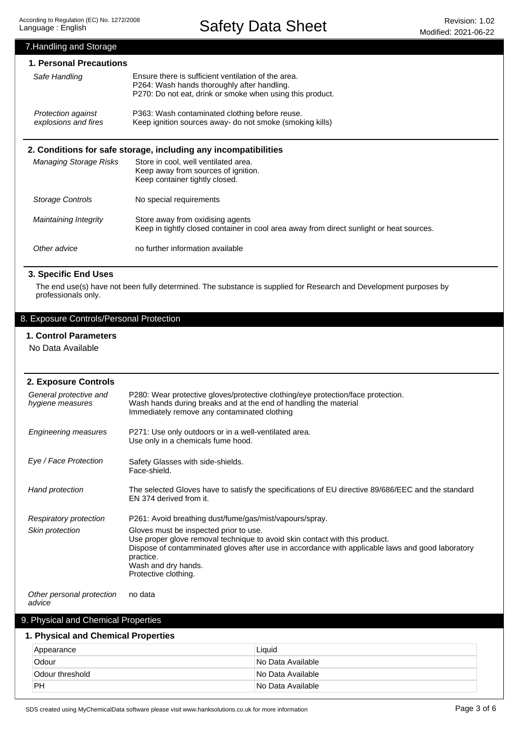## Other advice no further information available Maintaining Integrity Storage Controls Managing Storage Risks **2. Conditions for safe storage, including any incompatibilities** Store in cool, well ventilated area. Keep away from sources of ignition. Keep container tightly closed. No special requirements Store away from oxidising agents Keep in tightly closed container in cool area away from direct sunlight or heat sources. 7.Handling and Storage **1. Personal Precautions** Ensure there is sufficient ventilation of the area. P264: Wash hands thoroughly after handling. P270: Do not eat, drink or smoke when using this product. P363: Wash contaminated clothing before reuse. Keep ignition sources away- do not smoke (smoking kills) Protection against explosions and fires Safe Handling

## **3. Specific End Uses**

The end use(s) have not been fully determined. The substance is supplied for Research and Development purposes by professionals only.

## 8. Exposure Controls/Personal Protection

## **1. Control Parameters**

No Data Available

| 2. Exposure Controls                       |                                                                                                                                                                                                                                                                                       |
|--------------------------------------------|---------------------------------------------------------------------------------------------------------------------------------------------------------------------------------------------------------------------------------------------------------------------------------------|
| General protective and<br>hygiene measures | P280: Wear protective gloves/protective clothing/eye protection/face protection.<br>Wash hands during breaks and at the end of handling the material<br>Immediately remove any contaminated clothing                                                                                  |
| <b>Engineering measures</b>                | P271: Use only outdoors or in a well-ventilated area.<br>Use only in a chemicals fume hood.                                                                                                                                                                                           |
| Eye / Face Protection                      | Safety Glasses with side-shields.<br>Face-shield.                                                                                                                                                                                                                                     |
| Hand protection                            | The selected Gloves have to satisfy the specifications of EU directive 89/686/EEC and the standard<br>EN 374 derived from it.                                                                                                                                                         |
| Respiratory protection                     | P261: Avoid breathing dust/fume/gas/mist/vapours/spray.                                                                                                                                                                                                                               |
| Skin protection                            | Gloves must be inspected prior to use.<br>Use proper glove removal technique to avoid skin contact with this product.<br>Dispose of contamminated gloves after use in accordance with applicable laws and good laboratory<br>practice.<br>Wash and dry hands.<br>Protective clothing. |
| Other personal protection<br>advice        | no data                                                                                                                                                                                                                                                                               |
| 9. Physical and Chemical Properties        |                                                                                                                                                                                                                                                                                       |

## **1. Physical and Chemical Properties**

| Appearance      | Liquid            |
|-----------------|-------------------|
| Odour           | No Data Available |
| Odour threshold | No Data Available |
| <b>PH</b>       | No Data Available |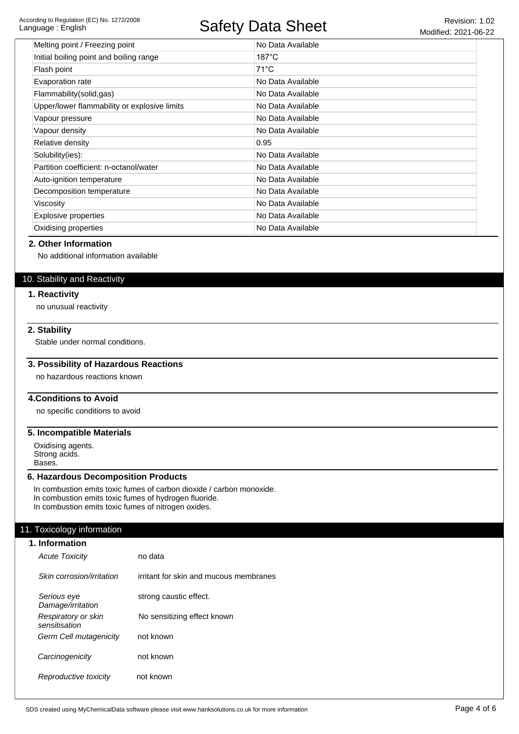#### According to Regulation (EC) No. 1272/2008 Language : English

## Safety Data Sheet Revision: 1.02

| Melting point / Freezing point               | No Data Available |
|----------------------------------------------|-------------------|
| Initial boiling point and boiling range      | $187^{\circ}$ C   |
| Flash point                                  | 71°C              |
| Evaporation rate                             | No Data Available |
| Flammability(solid,gas)                      | No Data Available |
| Upper/lower flammability or explosive limits | No Data Available |
| Vapour pressure                              | No Data Available |
| Vapour density                               | No Data Available |
| Relative density                             | 0.95              |
| Solubility(ies):                             | No Data Available |
| Partition coefficient: n-octanol/water       | No Data Available |
| Auto-ignition temperature                    | No Data Available |
| Decomposition temperature                    | No Data Available |
| Viscosity                                    | No Data Available |
| Explosive properties                         | No Data Available |
| Oxidising properties                         | No Data Available |

#### **2. Other Information**

No additional information available

## 10. Stability and Reactivity

#### **1. Reactivity**

no unusual reactivity

## **2. Stability**

Stable under normal conditions.

## **3. Possibility of Hazardous Reactions**

no hazardous reactions known

## **4.Conditions to Avoid**

no specific conditions to avoid

#### **5. Incompatible Materials**

Oxidising agents. Strong acids. Bases.

#### **6. Hazardous Decomposition Products**

In combustion emits toxic fumes of carbon dioxide / carbon monoxide. In combustion emits toxic fumes of hydrogen fluoride. In combustion emits toxic fumes of nitrogen oxides.

## 11. Toxicology information

| 1. Information                       |                                        |
|--------------------------------------|----------------------------------------|
| <b>Acute Toxicity</b>                | no data                                |
| Skin corrosion/irritation            | irritant for skin and mucous membranes |
| Serious eye<br>Damage/irritation     | strong caustic effect.                 |
| Respiratory or skin<br>sensitisation | No sensitizing effect known            |
| Germ Cell mutagenicity               | not known                              |
| Carcinogenicity                      | not known                              |
| Reproductive toxicity                | not known                              |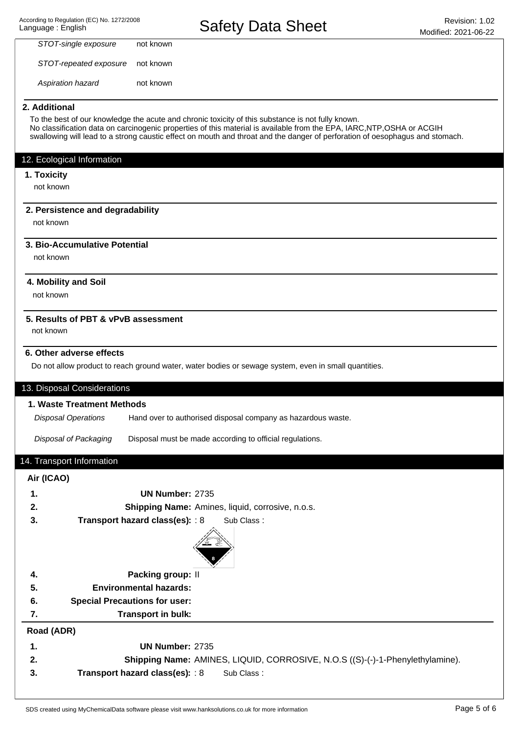Aspiration hazard STOT-repeated exposure STOT-single exposure not known not known not known

## **2. Additional**

To the best of our knowledge the acute and chronic toxicity of this substance is not fully known. No classification data on carcinogenic properties of this material is available from the EPA, IARC,NTP,OSHA or ACGIH swallowing will lead to a strong caustic effect on mouth and throat and the danger of perforation of oesophagus and stomach.

## 12. Ecological Information

#### **1. Toxicity**

not known

## **2. Persistence and degradability**

not known

## **3. Bio-Accumulative Potential**

not known

## **4. Mobility and Soil**

not known

## **5. Results of PBT & vPvB assessment**

not known

## **6. Other adverse effects**

Do not allow product to reach ground water, water bodies or sewage system, even in small quantities.

## 13. Disposal Considerations

#### **1. Waste Treatment Methods**

Hand over to authorised disposal company as hazardous waste. Disposal Operations

Disposal of Packaging Disposal must be made according to official regulations.

## 14. Transport Information

## **Air (ICAO)**

| 1.         | UN Number: 2735                      |                                                                               |
|------------|--------------------------------------|-------------------------------------------------------------------------------|
| 2.         |                                      | Shipping Name: Amines, liquid, corrosive, n.o.s.                              |
| 3.         | Transport hazard class(es): : 8      | Sub Class:                                                                    |
|            |                                      |                                                                               |
| 4.         | Packing group: II                    |                                                                               |
| 5.         | <b>Environmental hazards:</b>        |                                                                               |
| 6.         | <b>Special Precautions for user:</b> |                                                                               |
| 7.         | Transport in bulk:                   |                                                                               |
| Road (ADR) |                                      |                                                                               |
| 1.         | <b>UN Number: 2735</b>               |                                                                               |
| 2.         |                                      | Shipping Name: AMINES, LIQUID, CORROSIVE, N.O.S ((S)-(-)-1-Phenylethylamine). |
| 3.         | Transport hazard class(es): : 8      | Sub Class:                                                                    |